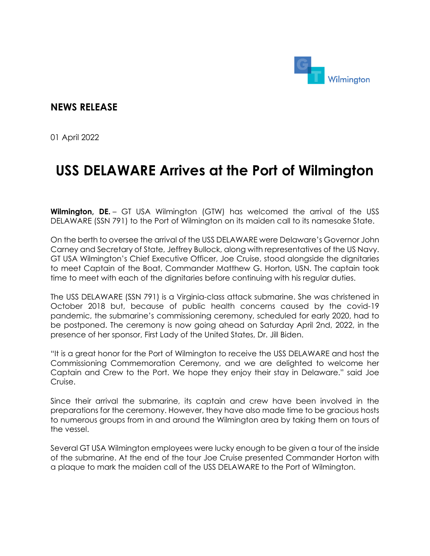

## **NEWS RELEASE**

01 April 2022

## **USS DELAWARE Arrives at the Port of Wilmington**

**Wilmington, DE.** – GT USA Wilmington (GTW) has welcomed the arrival of the USS DELAWARE (SSN 791) to the Port of Wilmington on its maiden call to its namesake State.

On the berth to oversee the arrival of the USS DELAWARE were Delaware's Governor John Carney and Secretary of State, Jeffrey Bullock, along with representatives of the US Navy. GT USA Wilmington's Chief Executive Officer, Joe Cruise, stood alongside the dignitaries to meet Captain of the Boat, Commander Matthew G. Horton, USN. The captain took time to meet with each of the dignitaries before continuing with his regular duties.

The USS DELAWARE (SSN 791) is a Virginia-class attack submarine. She was christened in October 2018 but, because of public health concerns caused by the covid-19 pandemic, the submarine's commissioning ceremony, scheduled for early 2020, had to be postponed. The ceremony is now going ahead on Saturday April 2nd, 2022, in the presence of her sponsor, First Lady of the United States, Dr. Jill Biden.

"It is a great honor for the Port of Wilmington to receive the USS DELAWARE and host the Commissioning Commemoration Ceremony, and we are delighted to welcome her Captain and Crew to the Port. We hope they enjoy their stay in Delaware." said Joe Cruise.

Since their arrival the submarine, its captain and crew have been involved in the preparations for the ceremony. However, they have also made time to be gracious hosts to numerous groups from in and around the Wilmington area by taking them on tours of the vessel.

Several GT USA Wilmington employees were lucky enough to be given a tour of the inside of the submarine. At the end of the tour Joe Cruise presented Commander Horton with a plaque to mark the maiden call of the USS DELAWARE to the Port of Wilmington.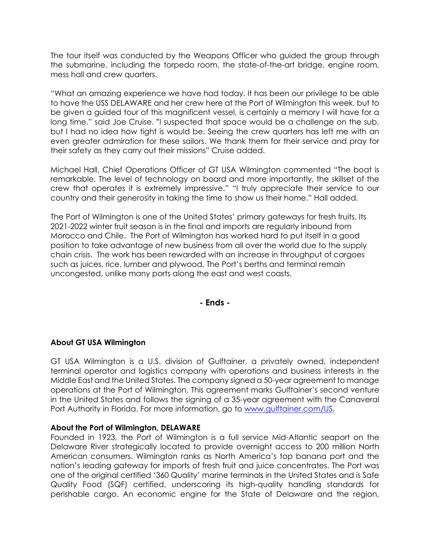The tour itself was conducted by the Weapons Officer who guided the group through the submarine, including the torpedo room, the state-of-the-art bridge, engine room, mess hall and crew quarters.

"What an amazing experience we have had today. It has been our privilege to be able to have the USS DELAWARE and her crew here at the Port of Wilmington this week, but to be given a guided tour of this magnificent vessel, is certainly a memory I will have for a long time," said Joe Cruise. "I suspected that space would be a challenge on the sub, but I had no idea how tight is would be. Seeing the crew quarters has left me with an even greater admiration for these sailors. We thank them for their service and pray for their safety as they carry out their missions" Cruise added.

Michael Hall, Chief Operations Officer of GT USA Wilmington commented "The boat is remarkable. The level of technology on board and more importantly, the skillset of the crew that operates it is extremely impressive." "I truly appreciate their service to our country and their generosity in taking the time to show us their home." Hall added.

The Port of Wilmington is one of the United States' primary gateways for fresh fruits. Its 2021-2022 winter fruit season is in the final and imports are regularly inbound from Morocco and Chile. The Port of Wilmington has worked hard to put itself in a good position to take advantage of new business from all over the world due to the supply chain crisis. The work has been rewarded with an increase in throughput of cargoes such as juices, rice, lumber and plywood. The Port's berths and terminal remain uncongested, unlike many ports along the east and west coasts.

**- Ends -**

## **About GT USA Wilmington**

GT USA Wilmington is a U.S. division of Gulftainer, a privately owned, independent terminal operator and logistics company with operations and business interests in the Middle East and the United States. The company signed a 50-year agreement to manage operations at the Port of Wilmington. This agreement marks Gulftainer's second venture in the United States and follows the signing of a 35-year agreement with the Canaveral Port Authority in Florida. For more information, go to [www.gulftainer.com/US.](http://www.gulftainer.com/US)

## **About the Port of Wilmington, DELAWARE**

Founded in 1923, the Port of Wilmington is a full service Mid-Atlantic seaport on the Delaware River strategically located to provide overnight access to 200 million North American consumers. Wilmington ranks as North America's top banana port and the nation's leading gateway for imports of fresh fruit and juice concentrates. The Port was one of the original certified '360 Quality' marine terminals in the United States and is Safe Quality Food (SQF) certified, underscoring its high-quality handling standards for perishable cargo. An economic engine for the State of Delaware and the region,